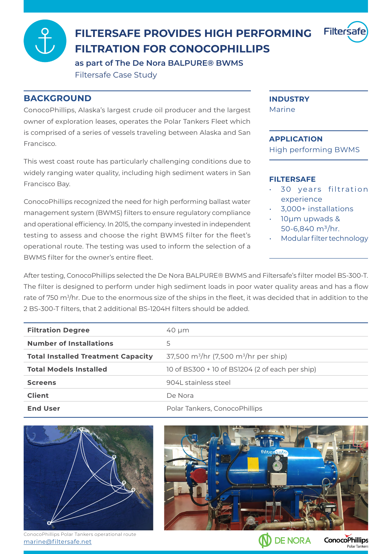

## **FILTERSAFE PROVIDES HIGH PERFORMING FILTRATION FOR CONOCOPHILLIPS**

as part of The De Nora BALPURE<sup>®</sup> BWMS Filtersafe Case Study

### **BACKGROUND**

ConocoPhillips, Alaska's largest crude oil producer and the largest owner of exploration leases, operates the Polar Tankers Fleet which is comprised of a series of vessels traveling between Alaska and San .Francisco

This west coast route has particularly challenging conditions due to widely ranging water quality, including high sediment waters in San Francisco Bay.

ConocoPhillips recognized the need for high performing ballast water management system (BWMS) filters to ensure regulatory compliance and operational efficiency. In 2015, the company invested in independent testing to assess and choose the right BWMS filter for the fleet's operational route. The testing was used to inform the selection of a BWMS filter for the owner's entire fleet.

#### **INDUSTRY**

Marine

#### **APPLICATION**

High performing BWMS

#### **FILTERSAFE**

- 30 years filtration experience
- 3,000+ installations
- 10µm upwads & 50-6,840  $m^3/hr$ .
- Modular filter technology

**Dolar Tan** 

After testing. ConocoPhillips selected the De Nora BALPURE® BWMS and Filtersafe's filter model BS-300-T. The filter is designed to perform under high sediment loads in poor water quality areas and has a flow rate of 750 m<sup>3</sup>/hr. Due to the enormous size of the ships in the fleet, it was decided that in addition to the 2 BS-300-T filters, that 2 additional BS-1204H filters should be added.

| <b>Filtration Degree</b>                  | 40 µm                                                         |
|-------------------------------------------|---------------------------------------------------------------|
| <b>Number of Installations</b>            | 5                                                             |
| <b>Total Installed Treatment Capacity</b> | 37,500 m <sup>3</sup> /hr (7,500 m <sup>3</sup> /hr per ship) |
| <b>Total Models Installed</b>             | 10 of BS300 + 10 of BS1204 (2 of each per ship)               |
| <b>Screens</b>                            | 904L stainless steel                                          |
| <b>Client</b>                             | De Nora                                                       |
| <b>End User</b>                           | Polar Tankers, ConocoPhillips                                 |



marine@filtersafe.net ConocoPhillips Polar Tankers operational route

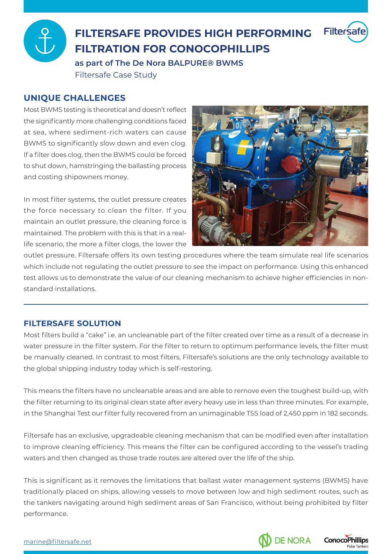

# **FILTERSAFE PROVIDES HIGH PERFORMING FILTRATION FOR CONOCOPHILLIPS**

as part of The De Nora BALPURE<sup>®</sup> BWMS Filtersafe Case Study

## **UNIQUE CHALLENGES**

Most BWMS testing is theoretical and doesn't reflect the significantly more challenging conditions faced at sea, where sediment-rich waters can cause BWMS to significantly slow down and even clog. If a filter does clog, then the BWMS could be forced to shut down, hamstringing the ballasting process and costing shipowners money.

In most filter systems, the outlet pressure creates the force necessary to clean the filter. If you maintain an outlet pressure, the cleaning force is life scenario, the more a filter clogs, the lower the maintained. The problem with this is that in a real-



outlet pressure. Filtersafe offers its own testing procedures where the team simulate real life scenarios which include not regulating the outlet pressure to see the impact on performance. Using this enhanced test allows us to demonstrate the value of our cleaning mechanism to achieve higher efficiencies in non-<br>standard installations.

## **FILTERSAFE SOLUTION**

Most filters build a "cake" i.e. an uncleanable part of the filter created over time as a result of a decrease in water pressure in the filter system. For the filter to return to optimum performance levels, the filter must be manually cleaned. In contrast to most filters, Filtersafe's solutions are the only technology available to the global shipping industry today which is self-restoring.

This means the filters have no uncleanable areas and are able to remove even the toughest build-up, with the filter returning to its original clean state after every heavy use in less than three minutes. For example, in the Shanghai Test our filter fully recovered from an unimaginable TSS load of 2,450 ppm in 182 seconds.

Filtersafe has an exclusive, upgradeable cleaning mechanism that can be modified even after installation to improve cleaning efficiency. This means the filter can be configured according to the vessel's trading waters and then changed as those trade routes are altered over the life of the ship.

This is significant as it removes the limitations that ballast water management systems (BWMS) have traditionally placed on ships, allowing vessels to move between low and high sediment routes, such as the tankers navigating around high sediment areas of San Francisco, without being prohibited by filter .performance